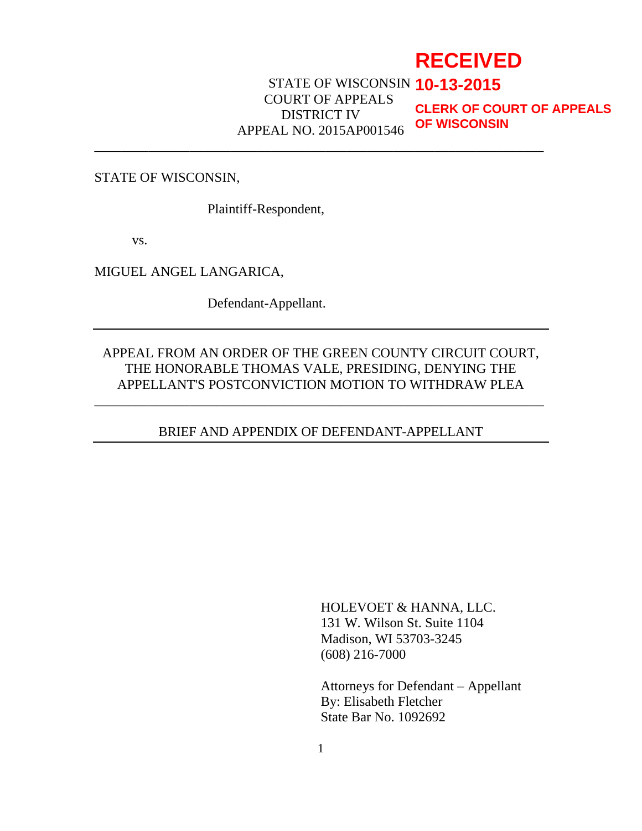# **RECEIVED**

STATE OF WISCONSIN **10-13-2015** COURT OF APPEALS DISTRICT IV APPEAL NO. 2015AP001546

\_\_\_\_\_\_\_\_\_\_\_\_\_\_\_\_\_\_\_\_\_\_\_\_\_\_\_\_\_\_\_\_\_\_\_\_\_\_\_\_\_\_\_\_\_\_\_\_\_\_\_\_\_\_\_\_\_\_\_\_\_\_\_\_\_\_

**CLERK OF COURT OF APPEALS OF WISCONSIN**

STATE OF WISCONSIN,

Plaintiff-Respondent,

vs.

MIGUEL ANGEL LANGARICA,

Defendant-Appellant.

### APPEAL FROM AN ORDER OF THE GREEN COUNTY CIRCUIT COURT, THE HONORABLE THOMAS VALE, PRESIDING, DENYING THE APPELLANT'S POSTCONVICTION MOTION TO WITHDRAW PLEA

\_\_\_\_\_\_\_\_\_\_\_\_\_\_\_\_\_\_\_\_\_\_\_\_\_\_\_\_\_\_\_\_\_\_\_\_\_\_\_\_\_\_\_\_\_\_\_\_\_\_\_\_\_\_\_\_\_\_\_\_\_\_\_\_\_\_

### BRIEF AND APPENDIX OF DEFENDANT-APPELLANT

HOLEVOET & HANNA, LLC. 131 W. Wilson St. Suite 1104 Madison, WI 53703-3245 (608) 216-7000

Attorneys for Defendant – Appellant By: Elisabeth Fletcher State Bar No. 1092692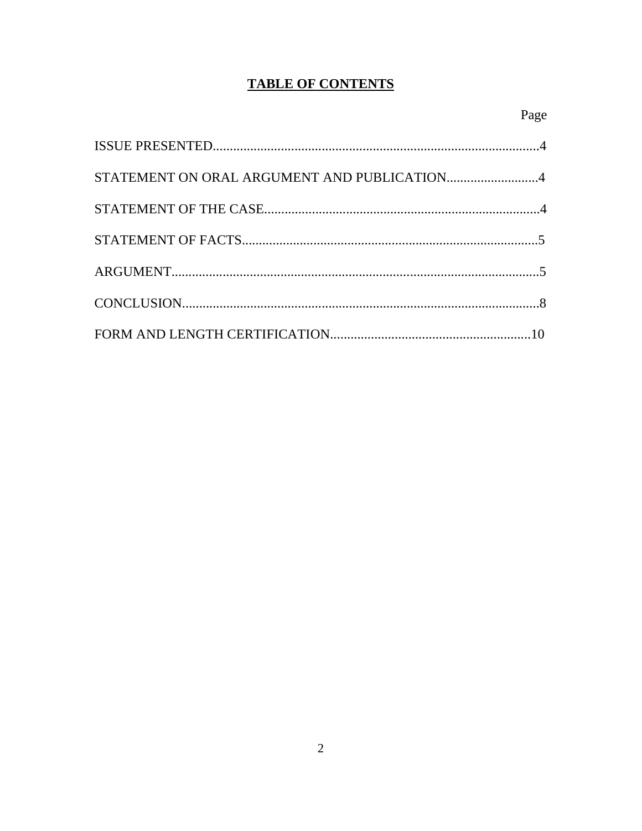# **TABLE OF CONTENTS**

| STATEMENT ON ORAL ARGUMENT AND PUBLICATION4 |  |
|---------------------------------------------|--|
|                                             |  |
|                                             |  |
|                                             |  |
|                                             |  |
|                                             |  |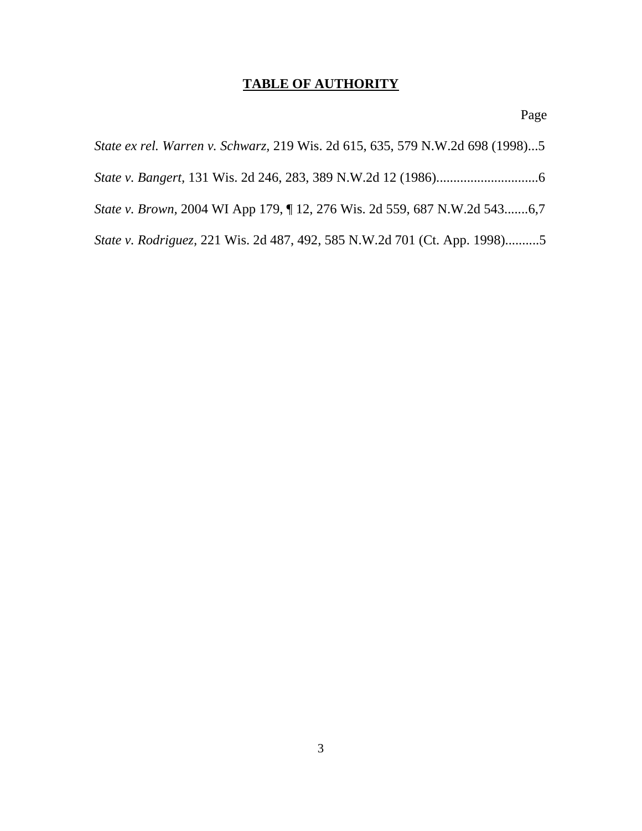# **TABLE OF AUTHORITY**

Page

| State ex rel. Warren v. Schwarz, 219 Wis. 2d 615, 635, 579 N.W.2d 698 (1998)5 |
|-------------------------------------------------------------------------------|
|                                                                               |
| State v. Brown, 2004 WI App 179, ¶ 12, 276 Wis. 2d 559, 687 N.W.2d 5436,7     |
| State v. Rodriguez, 221 Wis. 2d 487, 492, 585 N.W.2d 701 (Ct. App. 1998)5     |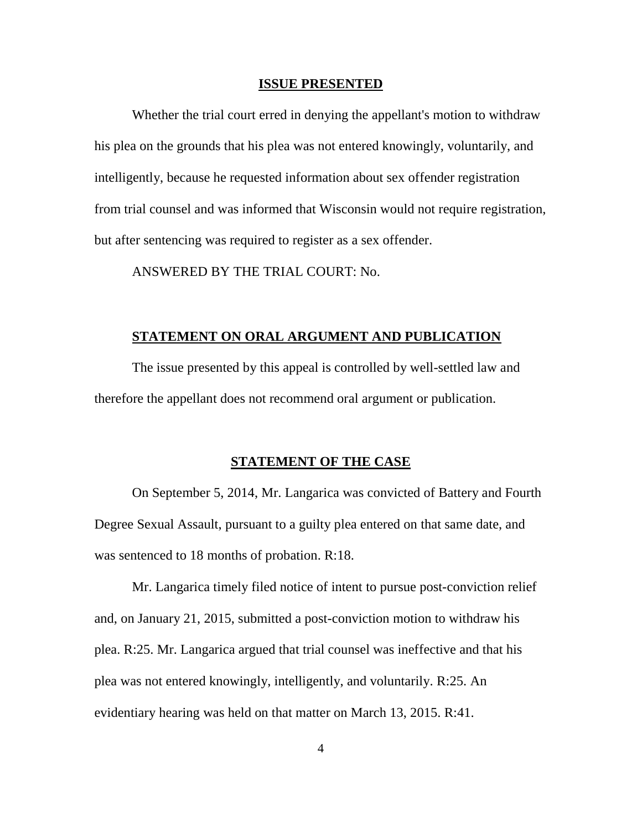#### **ISSUE PRESENTED**

Whether the trial court erred in denying the appellant's motion to withdraw his plea on the grounds that his plea was not entered knowingly, voluntarily, and intelligently, because he requested information about sex offender registration from trial counsel and was informed that Wisconsin would not require registration, but after sentencing was required to register as a sex offender.

ANSWERED BY THE TRIAL COURT: No.

#### **STATEMENT ON ORAL ARGUMENT AND PUBLICATION**

The issue presented by this appeal is controlled by well-settled law and therefore the appellant does not recommend oral argument or publication.

#### **STATEMENT OF THE CASE**

On September 5, 2014, Mr. Langarica was convicted of Battery and Fourth Degree Sexual Assault, pursuant to a guilty plea entered on that same date, and was sentenced to 18 months of probation. R:18.

Mr. Langarica timely filed notice of intent to pursue post-conviction relief and, on January 21, 2015, submitted a post-conviction motion to withdraw his plea. R:25. Mr. Langarica argued that trial counsel was ineffective and that his plea was not entered knowingly, intelligently, and voluntarily. R:25. An evidentiary hearing was held on that matter on March 13, 2015. R:41.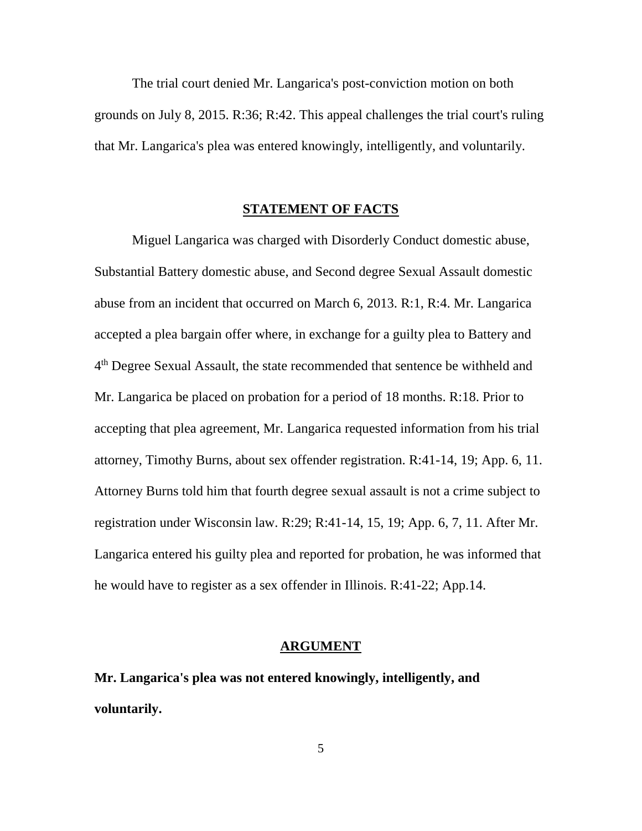The trial court denied Mr. Langarica's post-conviction motion on both grounds on July 8, 2015. R:36; R:42. This appeal challenges the trial court's ruling that Mr. Langarica's plea was entered knowingly, intelligently, and voluntarily.

#### **STATEMENT OF FACTS**

Miguel Langarica was charged with Disorderly Conduct domestic abuse, Substantial Battery domestic abuse, and Second degree Sexual Assault domestic abuse from an incident that occurred on March 6, 2013. R:1, R:4. Mr. Langarica accepted a plea bargain offer where, in exchange for a guilty plea to Battery and 4<sup>th</sup> Degree Sexual Assault, the state recommended that sentence be withheld and Mr. Langarica be placed on probation for a period of 18 months. R:18. Prior to accepting that plea agreement, Mr. Langarica requested information from his trial attorney, Timothy Burns, about sex offender registration. R:41-14, 19; App. 6, 11. Attorney Burns told him that fourth degree sexual assault is not a crime subject to registration under Wisconsin law. R:29; R:41-14, 15, 19; App. 6, 7, 11. After Mr. Langarica entered his guilty plea and reported for probation, he was informed that he would have to register as a sex offender in Illinois. R:41-22; App.14.

#### **ARGUMENT**

**Mr. Langarica's plea was not entered knowingly, intelligently, and voluntarily.**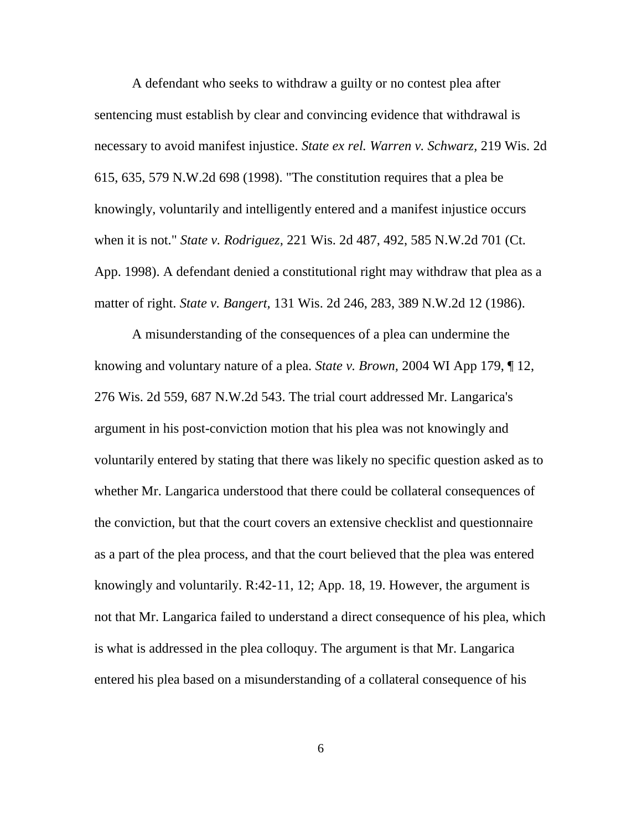A defendant who seeks to withdraw a guilty or no contest plea after sentencing must establish by clear and convincing evidence that withdrawal is necessary to avoid manifest injustice. *State ex rel. Warren v. Schwarz,* 219 Wis. 2d 615, 635, 579 N.W.2d 698 (1998). "The constitution requires that a plea be knowingly, voluntarily and intelligently entered and a manifest injustice occurs when it is not." *State v. Rodriguez,* 221 Wis. 2d 487, 492, 585 N.W.2d 701 (Ct. App. 1998). A defendant denied a constitutional right may withdraw that plea as a matter of right. *State v. Bangert,* 131 Wis. 2d 246, 283, 389 N.W.2d 12 (1986).

A misunderstanding of the consequences of a plea can undermine the knowing and voluntary nature of a plea. *State v. Brown,* 2004 WI App 179, ¶ 12, 276 Wis. 2d 559, 687 N.W.2d 543. The trial court addressed Mr. Langarica's argument in his post-conviction motion that his plea was not knowingly and voluntarily entered by stating that there was likely no specific question asked as to whether Mr. Langarica understood that there could be collateral consequences of the conviction, but that the court covers an extensive checklist and questionnaire as a part of the plea process, and that the court believed that the plea was entered knowingly and voluntarily. R:42-11, 12; App. 18, 19. However, the argument is not that Mr. Langarica failed to understand a direct consequence of his plea, which is what is addressed in the plea colloquy. The argument is that Mr. Langarica entered his plea based on a misunderstanding of a collateral consequence of his

6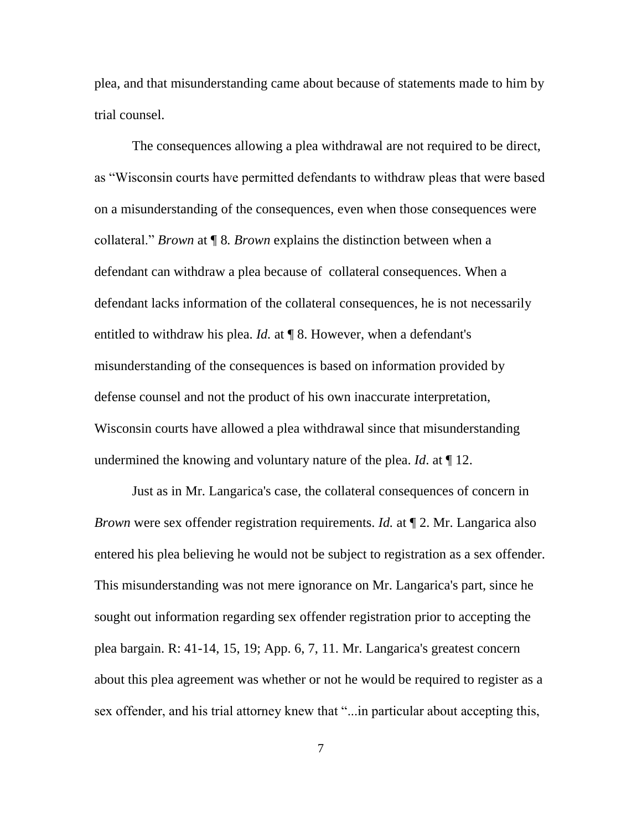plea, and that misunderstanding came about because of statements made to him by trial counsel.

The consequences allowing a plea withdrawal are not required to be direct, as "Wisconsin courts have permitted defendants to withdraw pleas that were based on a misunderstanding of the consequences, even when those consequences were collateral." *Brown* at ¶ 8*. Brown* explains the distinction between when a defendant can withdraw a plea because of collateral consequences. When a defendant lacks information of the collateral consequences, he is not necessarily entitled to withdraw his plea. *Id.* at ¶ 8. However, when a defendant's misunderstanding of the consequences is based on information provided by defense counsel and not the product of his own inaccurate interpretation, Wisconsin courts have allowed a plea withdrawal since that misunderstanding undermined the knowing and voluntary nature of the plea. *Id*. at ¶ 12.

Just as in Mr. Langarica's case, the collateral consequences of concern in *Brown* were sex offender registration requirements. *Id.* at ¶ 2. Mr. Langarica also entered his plea believing he would not be subject to registration as a sex offender. This misunderstanding was not mere ignorance on Mr. Langarica's part, since he sought out information regarding sex offender registration prior to accepting the plea bargain. R: 41-14, 15, 19; App. 6, 7, 11. Mr. Langarica's greatest concern about this plea agreement was whether or not he would be required to register as a sex offender, and his trial attorney knew that "...in particular about accepting this,

7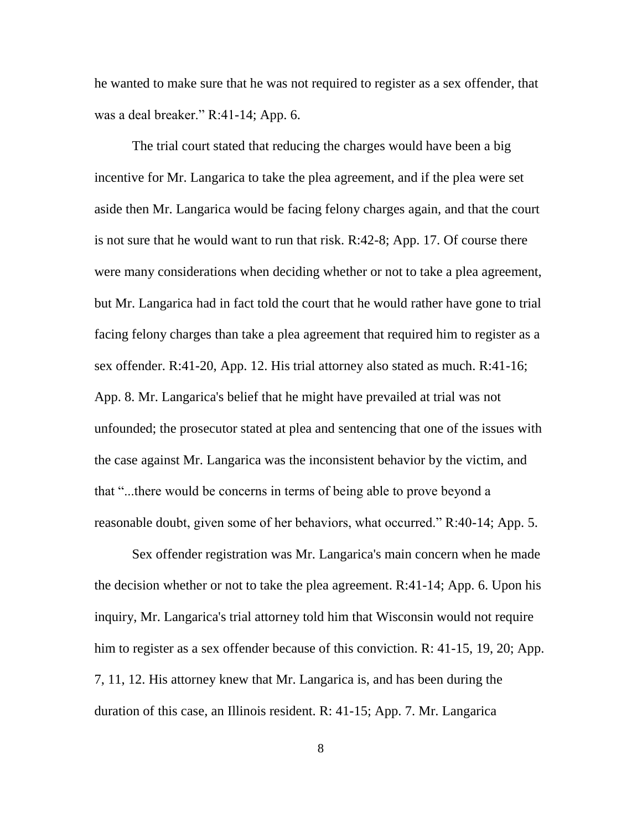he wanted to make sure that he was not required to register as a sex offender, that was a deal breaker." R:41-14; App. 6.

The trial court stated that reducing the charges would have been a big incentive for Mr. Langarica to take the plea agreement, and if the plea were set aside then Mr. Langarica would be facing felony charges again, and that the court is not sure that he would want to run that risk. R:42-8; App. 17. Of course there were many considerations when deciding whether or not to take a plea agreement, but Mr. Langarica had in fact told the court that he would rather have gone to trial facing felony charges than take a plea agreement that required him to register as a sex offender. R:41-20, App. 12. His trial attorney also stated as much. R:41-16; App. 8. Mr. Langarica's belief that he might have prevailed at trial was not unfounded; the prosecutor stated at plea and sentencing that one of the issues with the case against Mr. Langarica was the inconsistent behavior by the victim, and that "...there would be concerns in terms of being able to prove beyond a reasonable doubt, given some of her behaviors, what occurred." R:40-14; App. 5.

Sex offender registration was Mr. Langarica's main concern when he made the decision whether or not to take the plea agreement. R:41-14; App. 6. Upon his inquiry, Mr. Langarica's trial attorney told him that Wisconsin would not require him to register as a sex offender because of this conviction. R: 41-15, 19, 20; App. 7, 11, 12. His attorney knew that Mr. Langarica is, and has been during the duration of this case, an Illinois resident. R: 41-15; App. 7. Mr. Langarica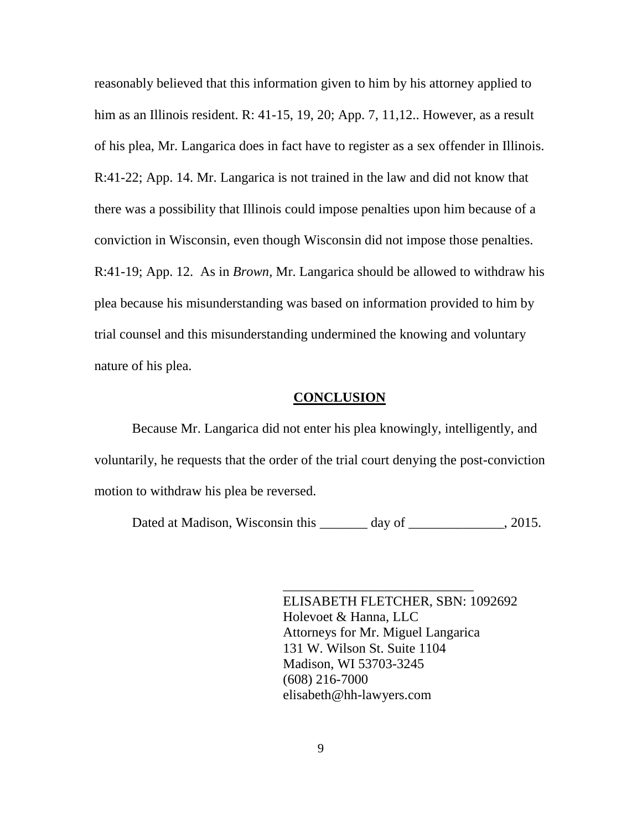reasonably believed that this information given to him by his attorney applied to him as an Illinois resident. R: 41-15, 19, 20; App. 7, 11,12.. However, as a result of his plea, Mr. Langarica does in fact have to register as a sex offender in Illinois. R:41-22; App. 14. Mr. Langarica is not trained in the law and did not know that there was a possibility that Illinois could impose penalties upon him because of a conviction in Wisconsin, even though Wisconsin did not impose those penalties. R:41-19; App. 12. As in *Brown,* Mr. Langarica should be allowed to withdraw his plea because his misunderstanding was based on information provided to him by trial counsel and this misunderstanding undermined the knowing and voluntary nature of his plea.

#### **CONCLUSION**

Because Mr. Langarica did not enter his plea knowingly, intelligently, and voluntarily, he requests that the order of the trial court denying the post-conviction motion to withdraw his plea be reversed.

Dated at Madison, Wisconsin this \_\_\_\_\_\_\_ day of \_\_\_\_\_\_\_\_\_\_\_, 2015.

ELISABETH FLETCHER, SBN: 1092692 Holevoet & Hanna, LLC Attorneys for Mr. Miguel Langarica 131 W. Wilson St. Suite 1104 Madison, WI 53703-3245 (608) 216-7000 elisabeth@hh-lawyers.com

\_\_\_\_\_\_\_\_\_\_\_\_\_\_\_\_\_\_\_\_\_\_\_\_\_\_\_\_